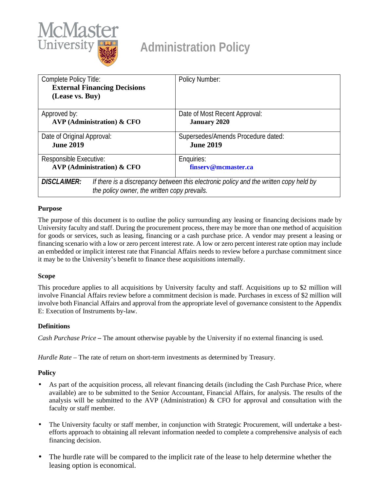

# **Administration Policy**

| Complete Policy Title:<br><b>External Financing Decisions</b>                                                                                               | Policy Number:                     |
|-------------------------------------------------------------------------------------------------------------------------------------------------------------|------------------------------------|
| (Lease vs. Buy)                                                                                                                                             |                                    |
| Approved by:                                                                                                                                                | Date of Most Recent Approval:      |
| <b>AVP</b> (Administration) & CFO                                                                                                                           | <b>January 2020</b>                |
| Date of Original Approval:                                                                                                                                  | Supersedes/Amends Procedure dated: |
| <b>June 2019</b>                                                                                                                                            | <b>June 2019</b>                   |
| Responsible Executive:                                                                                                                                      | Enquiries:                         |
| $AVP$ (Administration) & CFO                                                                                                                                | finserv@mcmaster.ca                |
| <b>DISCLAIMER:</b><br>If there is a discrepancy between this electronic policy and the written copy held by<br>the policy owner, the written copy prevails. |                                    |

## **Purpose**

The purpose of this document is to outline the policy surrounding any leasing or financing decisions made by University faculty and staff. During the procurement process, there may be more than one method of acquisition for goods or services, such as leasing, financing or a cash purchase price. A vendor may present a leasing or financing scenario with a low or zero percent interest rate. A low or zero percent interest rate option may include an embedded or implicit interest rate that Financial Affairs needs to review before a purchase commitment since it may be to the University's benefit to finance these acquisitions internally.

### **Scope**

This procedure applies to all acquisitions by University faculty and staff. Acquisitions up to \$2 million will involve Financial Affairs review before a commitment decision is made. Purchases in excess of \$2 million will involve both Financial Affairs and approval from the appropriate level of governance consistent to the Appendix E: Execution of Instruments by-law.

### **Definitions**

*Cash Purchase Price* **–** The amount otherwise payable by the University if no external financing is used.

*Hurdle Rate* – The rate of return on short-term investments as determined by Treasury.

### **Policy**

- As part of the acquisition process, all relevant financing details (including the Cash Purchase Price, where available) are to be submitted to the Senior Accountant, Financial Affairs, for analysis. The results of the analysis will be submitted to the AVP (Administration)  $\&$  CFO for approval and consultation with the faculty or staff member.
- The University faculty or staff member, in conjunction with Strategic Procurement, will undertake a bestä, efforts approach to obtaining all relevant information needed to complete a comprehensive analysis of each financing decision.
- l, The hurdle rate will be compared to the implicit rate of the lease to help determine whether the leasing option is economical.